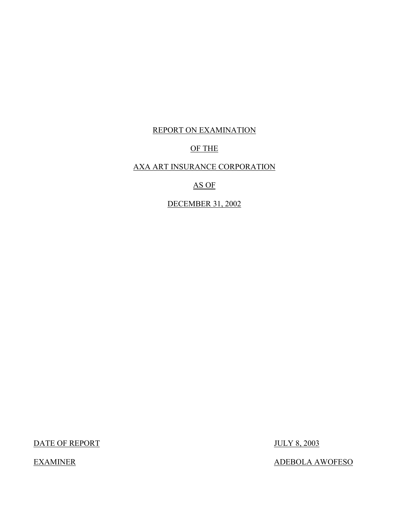### REPORT ON EXAMINATION

### OF THE

### AXA ART INSURANCE CORPORATION

### AS OF

DECEMBER 31, 2002

DATE OF REPORT JULY 8, 2003

EXAMINER ADEBOLA AWOFESO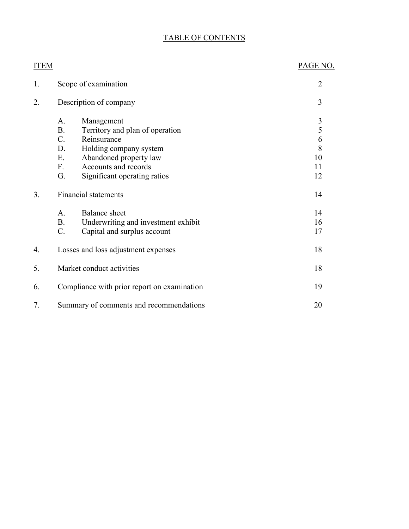### TABLE OF CONTENTS

| <b>ITEM</b> |                                                                                                                                                                                                                                                  | PAGE NO.                                        |
|-------------|--------------------------------------------------------------------------------------------------------------------------------------------------------------------------------------------------------------------------------------------------|-------------------------------------------------|
| 1.          | Scope of examination                                                                                                                                                                                                                             | $\overline{2}$                                  |
| 2.          | Description of company                                                                                                                                                                                                                           | 3                                               |
|             | A.<br>Management<br>Territory and plan of operation<br>B <sub>1</sub><br>$C_{\cdot}$<br>Reinsurance<br>D.<br>Holding company system<br>Ε.<br>Abandoned property law<br>Accounts and records<br>$F_{\cdot}$<br>G.<br>Significant operating ratios | $\mathfrak{Z}$<br>5<br>6<br>8<br>10<br>11<br>12 |
| 3.          | <b>Financial statements</b>                                                                                                                                                                                                                      | 14                                              |
|             | Balance sheet<br>A.<br><b>B.</b><br>Underwriting and investment exhibit<br>$C_{\cdot}$<br>Capital and surplus account                                                                                                                            | 14<br>16<br>17                                  |
| 4.          | Losses and loss adjustment expenses                                                                                                                                                                                                              | 18                                              |
| 5.          | Market conduct activities                                                                                                                                                                                                                        | 18                                              |
| 6.          | Compliance with prior report on examination                                                                                                                                                                                                      | 19                                              |
| 7.          | Summary of comments and recommendations                                                                                                                                                                                                          | 20                                              |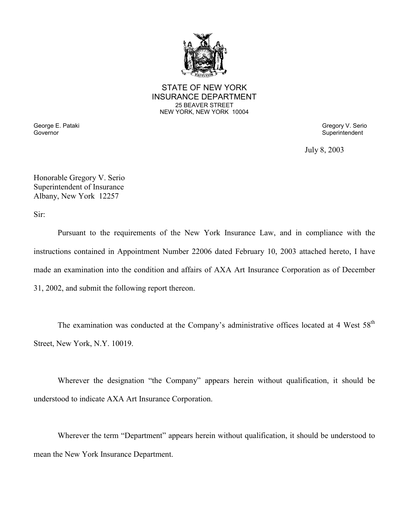

STATE OF NEW YORK INSURANCE DEPARTMENT 25 BEAVER STREET NEW YORK, NEW YORK 10004

George E. Pataki Gregory V. Serio Care and Superintendent Superintendent Covernment Covernment Covernment Covernment Covernment Covernment Covernment Covernment Covernment Covernment Covernment Covernment Covernment Covern

Superintendent

July 8, 2003

Honorable Gregory V. Serio Superintendent of Insurance Albany, New York 12257

Sir:

 Pursuant to the requirements of the New York Insurance Law, and in compliance with the instructions contained in Appointment Number 22006 dated February 10, 2003 attached hereto, I have made an examination into the condition and affairs of AXA Art Insurance Corporation as of December 31, 2002, and submit the following report thereon.

The examination was conducted at the Company's administrative offices located at 4 West 58<sup>th</sup> Street, New York, N.Y. 10019.

Wherever the designation "the Company" appears herein without qualification, it should be understood to indicate AXA Art Insurance Corporation.

Wherever the term "Department" appears herein without qualification, it should be understood to mean the New York Insurance Department.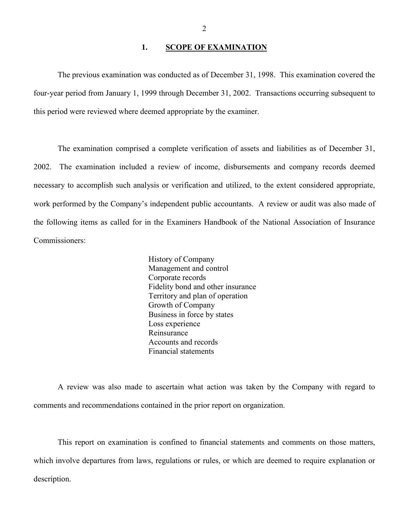### 1. **SCOPE OF EXAMINATION**

<span id="page-3-0"></span>The previous examination was conducted as of December 31, 1998. This examination covered the four-year period from January 1, 1999 through December 31, 2002. Transactions occurring subsequent to this period were reviewed where deemed appropriate by the examiner.

 The examination comprised a complete verification of assets and liabilities as of December 31, necessary to accomplish such analysis or verification and utilized, to the extent considered appropriate, 2002. The examination included a review of income, disbursements and company records deemed work performed by the Company's independent public accountants. A review or audit was also made of the following items as called for in the Examiners Handbook of the National Association of Insurance Commissioners:

> History of Company Management and control Corporate records Fidelity bond and other insurance Territory and plan of operation Growth of Company Business in force by states Loss experience Reinsurance Accounts and records Financial statements

A review was also made to ascertain what action was taken by the Company with regard to comments and recommendations contained in the prior report on organization.

This report on examination is confined to financial statements and comments on those matters, which involve departures from laws, regulations or rules, or which are deemed to require explanation or description.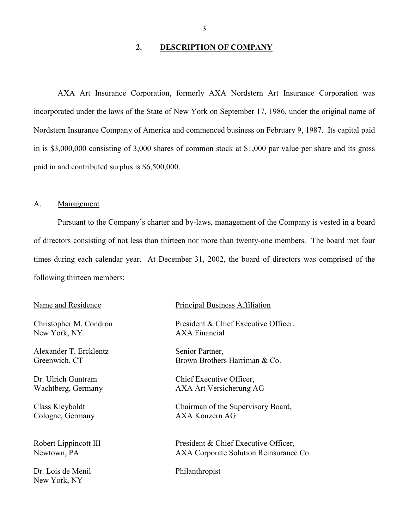### **2. DESCRIPTION OF COMPANY**

<span id="page-4-0"></span>AXA Art Insurance Corporation, formerly AXA Nordstern Art Insurance Corporation was incorporated under the laws of the State of New York on September 17, 1986, under the original name of Nordstern Insurance Company of America and commenced business on February 9, 1987. Its capital paid in is \$3,000,000 consisting of 3,000 shares of common stock at \$1,000 par value per share and its gross paid in and contributed surplus is \$6,500,000.

### A. Management

 Pursuant to the Company's charter and by-laws, management of the Company is vested in a board of directors consisting of not less than thirteen nor more than twenty-one members. The board met four times during each calendar year. At December 31, 2002, the board of directors was comprised of the following thirteen members:

New York, NY AXA Financial

Alexander T. Ercklentz Senior Partner,

Cologne, Germany

Dr. Lois de Menil Philanthropist New York, NY

#### Name and Residence Principal Business Affiliation

Christopher M. Condron President & Chief Executive Officer,

Greenwich, CT Brown Brothers Harriman & Co.

Dr. Ulrich Guntram Chief Executive Officer. Wachtberg, Germany AXA Art Versicherung AG

Class Kleyboldt<br>
Chairman of the Supervisory Board,<br>
Cologne. Germany<br>
AXA Konzern AG

Robert Lippincott III President & Chief Executive Officer, Newtown, PA <br>AXA Corporate Solution Reinsurance Co.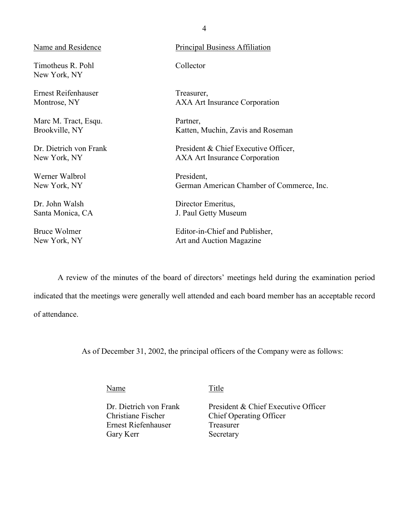| Name and Residence                | <b>Principal Business Affiliation</b>     |
|-----------------------------------|-------------------------------------------|
| Timotheus R. Pohl<br>New York, NY | Collector                                 |
| Ernest Reifenhauser               | Treasurer,                                |
| Montrose, NY                      | <b>AXA Art Insurance Corporation</b>      |
| Marc M. Tract, Esqu.              | Partner,                                  |
| Brookville, NY                    | Katten, Muchin, Zavis and Roseman         |
| Dr. Dietrich von Frank            | President & Chief Executive Officer,      |
| New York, NY                      | <b>AXA Art Insurance Corporation</b>      |
| Werner Walbrol                    | President,                                |
| New York, NY                      | German American Chamber of Commerce, Inc. |
| Dr. John Walsh                    | Director Emeritus,                        |
| Santa Monica, CA                  | J. Paul Getty Museum                      |
| <b>Bruce Wolmer</b>               | Editor-in-Chief and Publisher,            |
| New York, NY                      | Art and Auction Magazine                  |

 A review of the minutes of the board of directors' meetings held during the examination period indicated that the meetings were generally well attended and each board member has an acceptable record of attendance.

As of December 31, 2002, the principal officers of the Company were as follows:

Name Title

Ernest Riefenhauser Gary Kerr Secretary

Dr. Dietrich von Frank President & Chief Executive Officer<br>Christiane Fischer Chief Operating Officer Chief Operating Officer<br>Treasurer

4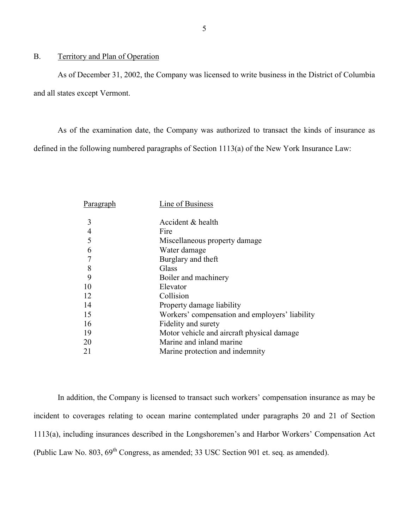### <span id="page-6-0"></span>B. Territory and Plan of Operation

As of December 31, 2002, the Company was licensed to write business in the District of Columbia and all states except Vermont.

 As of the examination date, the Company was authorized to transact the kinds of insurance as defined in the following numbered paragraphs of Section 1113(a) of the New York Insurance Law:

| Paragraph      | Line of Business                               |
|----------------|------------------------------------------------|
| 3              | Accident & health                              |
| $\overline{4}$ | Fire                                           |
| 5              | Miscellaneous property damage                  |
| 6              | Water damage                                   |
| $\overline{7}$ | Burglary and theft                             |
| 8              | Glass                                          |
| 9              | Boiler and machinery                           |
| 10             | Elevator                                       |
| 12             | Collision                                      |
| 14             | Property damage liability                      |
| 15             | Workers' compensation and employers' liability |
| 16             | Fidelity and surety                            |
| 19             | Motor vehicle and aircraft physical damage     |
| 20             | Marine and inland marine                       |
| 21             | Marine protection and indemnity                |
|                |                                                |

In addition, the Company is licensed to transact such workers' compensation insurance as may be incident to coverages relating to ocean marine contemplated under paragraphs 20 and 21 of Section 1113(a), including insurances described in the Longshoremen's and Harbor Workers' Compensation Act (Public Law No. 803,  $69^{th}$  Congress, as amended; 33 USC Section 901 et. seq. as amended).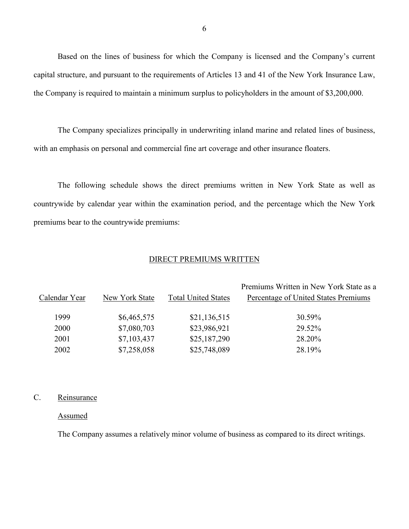Based on the lines of business for which the Company is licensed and the Company's current capital structure, and pursuant to the requirements of Articles 13 and 41 of the New York Insurance Law, the Company is required to maintain a minimum surplus to policyholders in the amount of \$3,200,000.

The Company specializes principally in underwriting inland marine and related lines of business, with an emphasis on personal and commercial fine art coverage and other insurance floaters.

 The following schedule shows the direct premiums written in New York State as well as countrywide by calendar year within the examination period, and the percentage which the New York premiums bear to the countrywide premiums:

### DIRECT PREMIUMS WRITTEN

|               |                |                            | Premiums Written in New York State as a |
|---------------|----------------|----------------------------|-----------------------------------------|
| Calendar Year | New York State | <b>Total United States</b> | Percentage of United States Premiums    |
| 1999          | \$6,465,575    | \$21,136,515               | 30.59%                                  |
| 2000          | \$7,080,703    | \$23,986,921               | 29.52%                                  |
| 2001          | \$7,103,437    | \$25,187,290               | 28.20%                                  |
| 2002          | \$7,258,058    | \$25,748,089               | 28.19%                                  |

### C. Reinsurance

#### Assumed

The Company assumes a relatively minor volume of business as compared to its direct writings.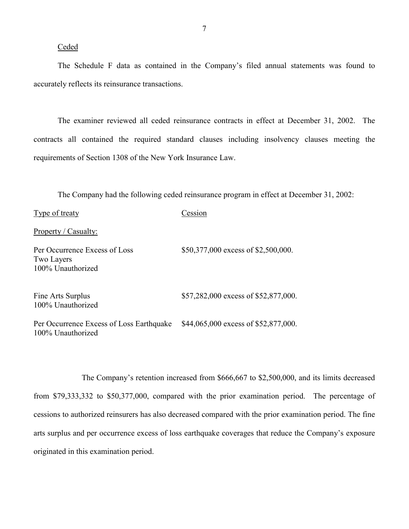### Ceded

100% Unauthorized

The Schedule F data as contained in the Company's filed annual statements was found to accurately reflects its reinsurance transactions.

The examiner reviewed all ceded reinsurance contracts in effect at December 31, 2002. The contracts all contained the required standard clauses including insolvency clauses meeting the requirements of Section 1308 of the New York Insurance Law.

The Company had the following ceded reinsurance program in effect at December 31, 2002:

| Type of treaty                                                          | Cession                              |
|-------------------------------------------------------------------------|--------------------------------------|
| Property / Casualty:                                                    |                                      |
| Per Occurrence Excess of Loss<br><b>Two Layers</b><br>100% Unauthorized | \$50,377,000 excess of \$2,500,000.  |
| Fine Arts Surplus<br>100% Unauthorized                                  | \$57,282,000 excess of \$52,877,000. |
| Per Occurrence Excess of Loss Earthquake                                | \$44,065,000 excess of \$52,877,000. |

The Company's retention increased from \$666,667 to \$2,500,000, and its limits decreased from \$79,333,332 to \$50,377,000, compared with the prior examination period. The percentage of cessions to authorized reinsurers has also decreased compared with the prior examination period. The fine arts surplus and per occurrence excess of loss earthquake coverages that reduce the Company's exposure originated in this examination period.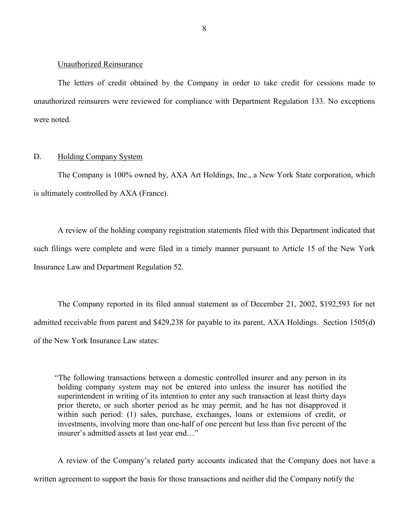#### <span id="page-9-0"></span>Unauthorized Reinsurance

 The letters of credit obtained by the Company in order to take credit for cessions made to unauthorized reinsurers were reviewed for compliance with Department Regulation 133. No exceptions were noted.

#### D. Holding Company System

The Company is 100% owned by, AXA Art Holdings, Inc., a New York State corporation, which is ultimately controlled by AXA (France).

 such filings were complete and were filed in a timely manner pursuant to Article 15 of the New York A review of the holding company registration statements filed with this Department indicated that Insurance Law and Department Regulation 52.

The Company reported in its filed annual statement as of December 21, 2002, \$192,593 for net admitted receivable from parent and \$429,238 for payable to its parent, AXA Holdings. Section 1505(d) of the New York Insurance Law states:

 superintendent in writing of its intention to enter any such transaction at least thirty days prior thereto, or such shorter period as he may permit, and he has not disapproved it "The following transactions between a domestic controlled insurer and any person in its holding company system may not be entered into unless the insurer has notified the within such period: (1) sales, purchase, exchanges, loans or extensions of credit, or investments, involving more than one-half of one percent but less than five percent of the insurer's admitted assets at last year end…"

A review of the Company's related party accounts indicated that the Company does not have a written agreement to support the basis for those transactions and neither did the Company notify the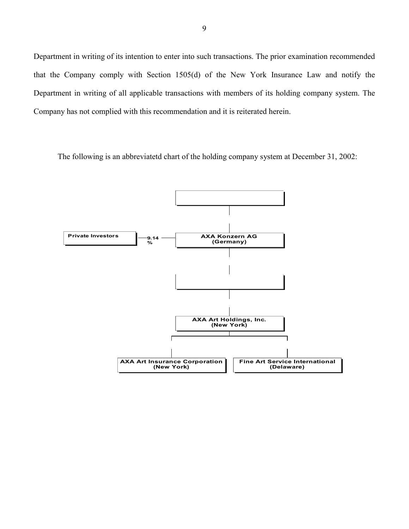Department in writing of its intention to enter into such transactions. The prior examination recommended that the Company comply with Section 1505(d) of the New York Insurance Law and notify the Department in writing of all applicable transactions with members of its holding company system. The Company has not complied with this recommendation and it is reiterated herein.

The following is an abbreviatetd chart of the holding company system at December 31, 2002:

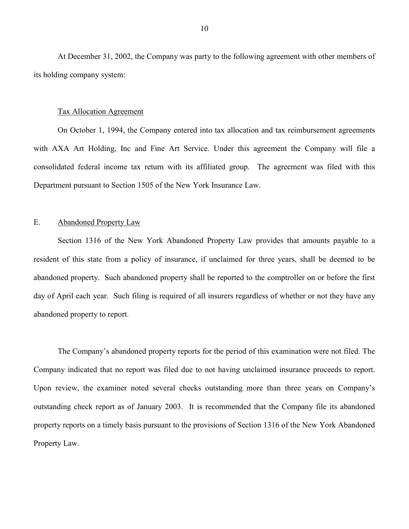<span id="page-11-0"></span>At December 31, 2002, the Company was party to the following agreement with other members of its holding company system:

#### Tax Allocation Agreement

On October 1, 1994, the Company entered into tax allocation and tax reimbursement agreements with AXA Art Holding, Inc and Fine Art Service. Under this agreement the Company will file a consolidated federal income tax return with its affiliated group. The agreement was filed with this Department pursuant to Section 1505 of the New York Insurance Law.

### E. Abandoned Property Law

 day of April each year. Such filing is required of all insurers regardless of whether or not they have any Section 1316 of the New York Abandoned Property Law provides that amounts payable to a resident of this state from a policy of insurance, if unclaimed for three years, shall be deemed to be abandoned property. Such abandoned property shall be reported to the comptroller on or before the first abandoned property to report.

 outstanding check report as of January 2003. It is recommended that the Company file its abandoned The Company's abandoned property reports for the period of this examination were not filed. The Company indicated that no report was filed due to not having unclaimed insurance proceeds to report. Upon review, the examiner noted several checks outstanding more than three years on Company's property reports on a timely basis pursuant to the provisions of Section 1316 of the New York Abandoned Property Law.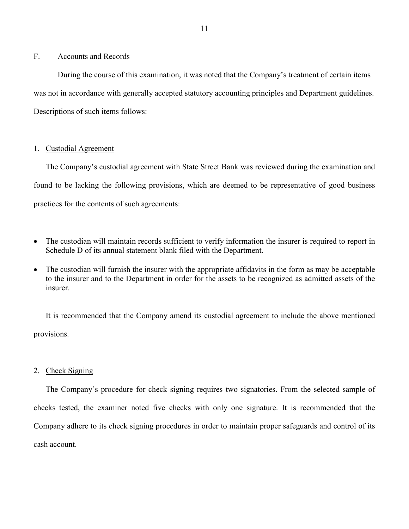### <span id="page-12-0"></span>F. Accounts and Records

During the course of this examination, it was noted that the Company's treatment of certain items was not in accordance with generally accepted statutory accounting principles and Department guidelines. Descriptions of such items follows:

### 1. Custodial Agreement

The Company's custodial agreement with State Street Bank was reviewed during the examination and found to be lacking the following provisions, which are deemed to be representative of good business practices for the contents of such agreements:

- The custodian will maintain records sufficient to verify information the insurer is required to report in Schedule D of its annual statement blank filed with the Department.
- The custodian will furnish the insurer with the appropriate affidavits in the form as may be acceptable to the insurer and to the Department in order for the assets to be recognized as admitted assets of the insurer.

It is recommended that the Company amend its custodial agreement to include the above mentioned provisions.

### 2. Check Signing

The Company's procedure for check signing requires two signatories. From the selected sample of checks tested, the examiner noted five checks with only one signature. It is recommended that the Company adhere to its check signing procedures in order to maintain proper safeguards and control of its cash account.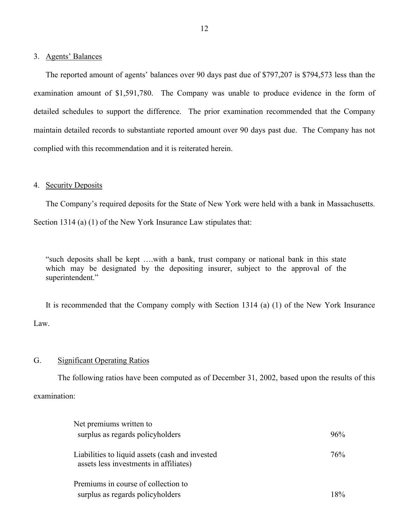#### 3. Agents' Balances

The reported amount of agents' balances over 90 days past due of \$797,207 is \$794,573 less than the examination amount of \$1,591,780. The Company was unable to produce evidence in the form of detailed schedules to support the difference. The prior examination recommended that the Company maintain detailed records to substantiate reported amount over 90 days past due. The Company has not complied with this recommendation and it is reiterated herein.

### 4. Security Deposits

 The Company's required deposits for the State of New York were held with a bank in Massachusetts. Section 1314 (a) (1) of the New York Insurance Law stipulates that:

"such deposits shall be kept ….with a bank, trust company or national bank in this state which may be designated by the depositing insurer, subject to the approval of the superintendent."

It is recommended that the Company comply with Section 1314 (a) (1) of the New York Insurance Law.

### G. Significant Operating Ratios

The following ratios have been computed as of December 31, 2002, based upon the results of this examination:

| Net premiums written to                                                                   |       |
|-------------------------------------------------------------------------------------------|-------|
| surplus as regards policyholders                                                          | 96%   |
| Liabilities to liquid assets (cash and invested<br>assets less investments in affiliates) | 76%   |
| Premiums in course of collection to                                                       |       |
| surplus as regards policyholders                                                          | $8\%$ |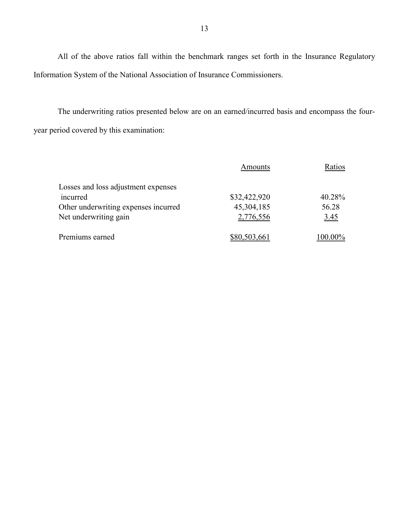All of the above ratios fall within the benchmark ranges set forth in the Insurance Regulatory Information System of the National Association of Insurance Commissioners.

The underwriting ratios presented below are on an earned/incurred basis and encompass the fouryear period covered by this examination:

|                                      | Amounts      | Ratios  |
|--------------------------------------|--------------|---------|
| Losses and loss adjustment expenses  |              |         |
| incurred                             | \$32,422,920 | 40.28%  |
| Other underwriting expenses incurred | 45,304,185   | 56.28   |
| Net underwriting gain                | 2,776,556    | 3.45    |
| Premiums earned                      | \$80,503,661 | 100.00% |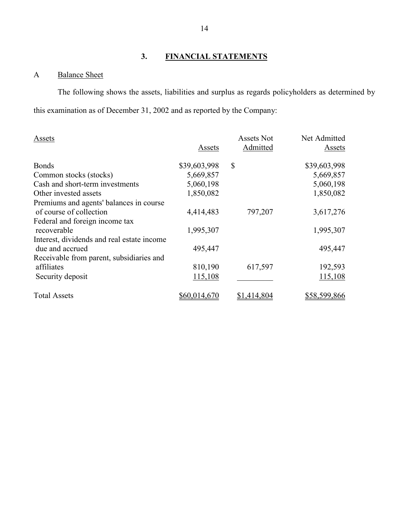### **3. FINANCIAL STATEMENTS**

### A Balance Sheet

 The following shows the assets, liabilities and surplus as regards policyholders as determined by this examination as of December 31, 2002 and as reported by the Company:

| Assets                                     |              | <b>Assets Not</b> | Net Admitted |
|--------------------------------------------|--------------|-------------------|--------------|
|                                            | Assets       | Admitted          | Assets       |
| <b>Bonds</b>                               | \$39,603,998 | \$                | \$39,603,998 |
| Common stocks (stocks)                     | 5,669,857    |                   | 5,669,857    |
| Cash and short-term investments            | 5,060,198    |                   | 5,060,198    |
| Other invested assets                      | 1,850,082    |                   | 1,850,082    |
| Premiums and agents' balances in course    |              |                   |              |
| of course of collection                    | 4,414,483    | 797,207           | 3,617,276    |
| Federal and foreign income tax             |              |                   |              |
| recoverable                                | 1,995,307    |                   | 1,995,307    |
| Interest, dividends and real estate income |              |                   |              |
| due and accrued                            | 495,447      |                   | 495,447      |
| Receivable from parent, subsidiaries and   |              |                   |              |
| affiliates                                 | 810,190      | 617,597           | 192,593      |
| Security deposit                           | 115,108      |                   | 115,108      |
| <b>Total Assets</b>                        | \$60,014,670 | \$1,414,804       | \$58,599,866 |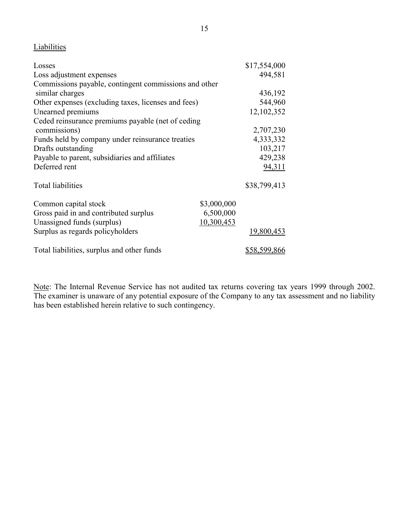### **Liabilities**

| Losses                                                |             | \$17,554,000        |
|-------------------------------------------------------|-------------|---------------------|
| Loss adjustment expenses                              |             | 494,581             |
| Commissions payable, contingent commissions and other |             |                     |
| similar charges                                       |             | 436,192             |
| Other expenses (excluding taxes, licenses and fees)   |             | 544,960             |
| Unearned premiums                                     |             | 12,102,352          |
| Ceded reinsurance premiums payable (net of ceding     |             |                     |
| commissions)                                          |             | 2,707,230           |
| Funds held by company under reinsurance treaties      |             | 4,333,332           |
| Drafts outstanding                                    |             | 103,217             |
| Payable to parent, subsidiaries and affiliates        |             | 429,238             |
| Deferred rent                                         |             | 94,311              |
| <b>Total liabilities</b>                              |             | \$38,799,413        |
| Common capital stock                                  | \$3,000,000 |                     |
| Gross paid in and contributed surplus                 | 6,500,000   |                     |
| Unassigned funds (surplus)                            | 10,300,453  |                     |
| Surplus as regards policyholders                      |             | 19,800,453          |
| Total liabilities, surplus and other funds            |             | <u>\$58,599,866</u> |

Note: The Internal Revenue Service has not audited tax returns covering tax years 1999 through 2002. The examiner is unaware of any potential exposure of the Company to any tax assessment and no liability has been established herein relative to such contingency.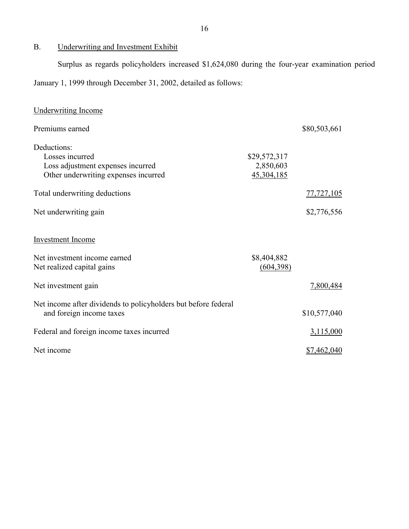### B. Underwriting and Investment Exhibit

Surplus as regards policyholders increased \$1,624,080 during the four-year examination period January 1, 1999 through December 31, 2002, detailed as follows:

| <b>Underwriting Income</b>                                                                                  |                                         |                    |
|-------------------------------------------------------------------------------------------------------------|-----------------------------------------|--------------------|
| Premiums earned                                                                                             |                                         | \$80,503,661       |
| Deductions:<br>Losses incurred<br>Loss adjustment expenses incurred<br>Other underwriting expenses incurred | \$29,572,317<br>2,850,603<br>45,304,185 |                    |
| Total underwriting deductions                                                                               |                                         | 77,727,105         |
| Net underwriting gain                                                                                       |                                         | \$2,776,556        |
| <b>Investment Income</b>                                                                                    |                                         |                    |
| Net investment income earned<br>Net realized capital gains                                                  | \$8,404,882<br>(604, 398)               |                    |
| Net investment gain                                                                                         |                                         | 7,800,484          |
| Net income after dividends to policyholders but before federal<br>and foreign income taxes                  |                                         | \$10,577,040       |
| Federal and foreign income taxes incurred                                                                   |                                         | 3,115,000          |
| Net income                                                                                                  |                                         | <u>\$7,462,040</u> |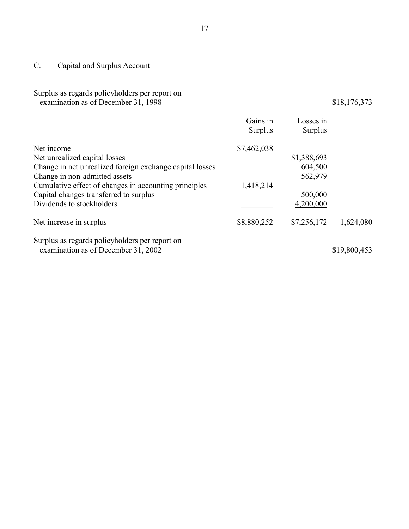## <span id="page-18-0"></span>C. Capital and Surplus Account

### Surplus as regards policyholders per report on examination as of December 31, 1998 \$18,176,373

|                                                          | Gains in<br><b>Surplus</b> | Losses in<br><b>Surplus</b> |              |
|----------------------------------------------------------|----------------------------|-----------------------------|--------------|
| Net income                                               | \$7,462,038                |                             |              |
| Net unrealized capital losses                            |                            | \$1,388,693                 |              |
| Change in net unrealized foreign exchange capital losses |                            | 604,500                     |              |
| Change in non-admitted assets                            |                            | 562,979                     |              |
| Cumulative effect of changes in accounting principles    | 1,418,214                  |                             |              |
| Capital changes transferred to surplus                   |                            | 500,000                     |              |
| Dividends to stockholders                                |                            | 4,200,000                   |              |
| Net increase in surplus                                  | \$8,880,252                | \$7,256,172                 | 1,624,080    |
| Surplus as regards policyholders per report on           |                            |                             |              |
| examination as of December 31, 2002                      |                            |                             | \$19,800,453 |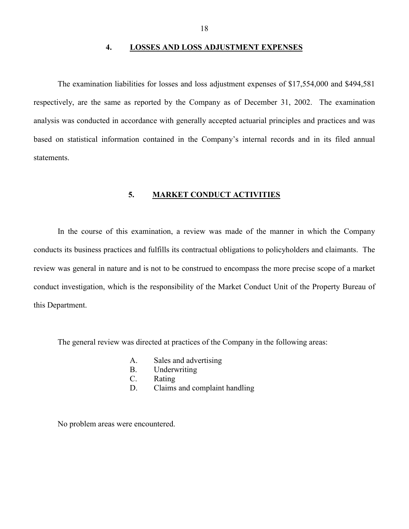### **4. LOSSES AND LOSS ADJUSTMENT EXPENSES**

<span id="page-19-0"></span>The examination liabilities for losses and loss adjustment expenses of \$17,554,000 and \$494,581 respectively, are the same as reported by the Company as of December 31, 2002. The examination analysis was conducted in accordance with generally accepted actuarial principles and practices and was based on statistical information contained in the Company's internal records and in its filed annual statements.

### **5. MARKET CONDUCT ACTIVITIES**

In the course of this examination, a review was made of the manner in which the Company conducts its business practices and fulfills its contractual obligations to policyholders and claimants. The review was general in nature and is not to be construed to encompass the more precise scope of a market conduct investigation, which is the responsibility of the Market Conduct Unit of the Property Bureau of this Department.

The general review was directed at practices of the Company in the following areas:

- A. Sales and advertising
- B. Underwriting
- C. Rating
- D. Claims and complaint handling

No problem areas were encountered.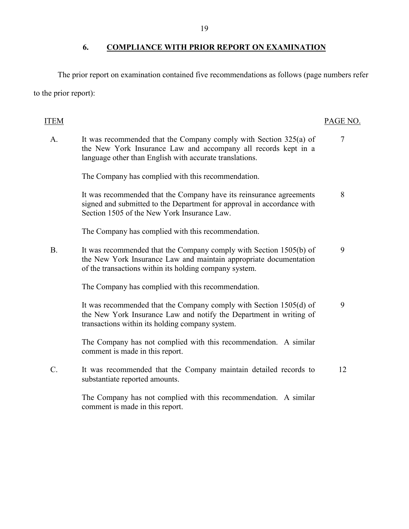### **6. COMPLIANCE WITH PRIOR REPORT ON EXAMINATION**

The prior report on examination contained five recommendations as follows (page numbers refer to the prior report):

### A. It was recommended that the Company comply with Section 325(a) of the New York Insurance Law and notify the Department in writing of ITEM PAGE NO. the New York Insurance Law and accompany all records kept in a language other than English with accurate translations. 7 The Company has complied with this recommendation. It was recommended that the Company have its reinsurance agreements signed and submitted to the Department for approval in accordance with Section 1505 of the New York Insurance Law. 8 The Company has complied with this recommendation. B. It was recommended that the Company comply with Section 1505(b) of the New York Insurance Law and maintain appropriate documentation of the transactions within its holding company system. 9 The Company has complied with this recommendation. It was recommended that the Company comply with Section 1505(d) of transactions within its holding company system. 9 The Company has not complied with this recommendation. A similar comment is made in this report. C. It was recommended that the Company maintain detailed records to substantiate reported amounts. 12 The Company has not complied with this recommendation. A similar comment is made in this report.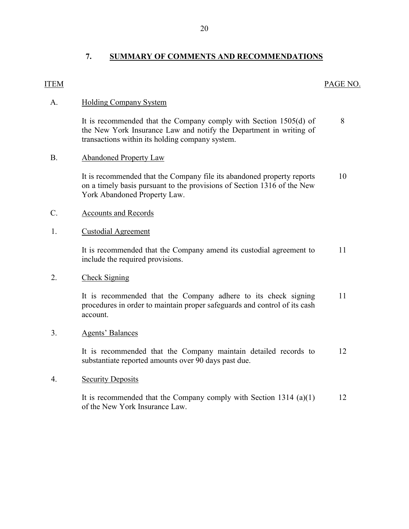### **7. SUMMARY OF COMMENTS AND RECOMMENDATIONS**

### <span id="page-21-0"></span>ITEM PAGE NO.

8

### A. Holding Company System

 the New York Insurance Law and notify the Department in writing of It is recommended that the Company comply with Section 1505(d) of transactions within its holding company system.

### B. Abandoned Property Law

It is recommended that the Company file its abandoned property reports 10 on a timely basis pursuant to the provisions of Section 1316 of the New York Abandoned Property Law.

### C. Accounts and Records

### 1. Custodial Agreement

It is recommended that the Company amend its custodial agreement to 11 include the required provisions.

### 2. Check Signing

It is recommended that the Company adhere to its check signing 11 procedures in order to maintain proper safeguards and control of its cash account.

### 3. Agents' Balances

It is recommended that the Company maintain detailed records to 12 substantiate reported amounts over 90 days past due.

### 4. Security Deposits

It is recommended that the Company comply with Section 1314 (a)(1) of the New York Insurance Law. 12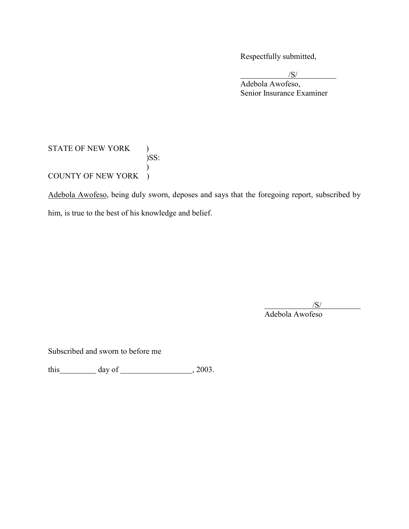Respectfully submitted,

/S/

Adebola Awofeso, Senior Insurance Examiner

### STATE OF NEW YORK )  $)$ <br>)SS: ) COUNTY OF NEW YORK )

Adebola Awofeso, being duly sworn, deposes and says that the foregoing report, subscribed by him, is true to the best of his knowledge and belief.

> $/S/$  /S/ Adebola Awofeso

Subscribed and sworn to before me

this day of  $\frac{1}{2003}$ .